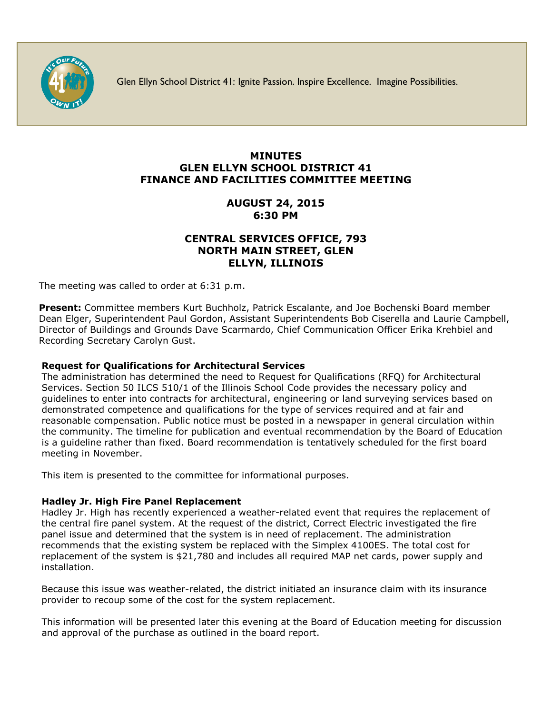

Glen Ellyn School District 41: Ignite Passion. Inspire Excellence. Imagine Possibilities.

# **MINUTES GLEN ELLYN SCHOOL DISTRICT 41 FINANCE AND FACILITIES COMMITTEE MEETING**

# **AUGUST 24, 2015 6:30 PM**

## **CENTRAL SERVICES OFFICE, 793 NORTH MAIN STREET, GLEN ELLYN, ILLINOIS**

The meeting was called to order at 6:31 p.m.

**Present:** Committee members Kurt Buchholz, Patrick Escalante, and Joe Bochenski Board member Dean Elger, Superintendent Paul Gordon, Assistant Superintendents Bob Ciserella and Laurie Campbell, Director of Buildings and Grounds Dave Scarmardo, Chief Communication Officer [Erika Krehbiel](http://www.d41.org/contact_email.asp?id=ekrehbiel&n=Erika_Krehbiel) and Recording Secretary Carolyn Gust.

### **Request for Qualifications for Architectural Services**

The administration has determined the need to Request for Qualifications (RFQ) for Architectural Services. Section 50 ILCS 510/1 of the Illinois School Code provides the necessary policy and guidelines to enter into contracts for architectural, engineering or land surveying services based on demonstrated competence and qualifications for the type of services required and at fair and reasonable compensation. Public notice must be posted in a newspaper in general circulation within the community. The timeline for publication and eventual recommendation by the Board of Education is a guideline rather than fixed. Board recommendation is tentatively scheduled for the first board meeting in November.

This item is presented to the committee for informational purposes.

### **Hadley Jr. High Fire Panel Replacement**

Hadley Jr. High has recently experienced a weather-related event that requires the replacement of the central fire panel system. At the request of the district, Correct Electric investigated the fire panel issue and determined that the system is in need of replacement. The administration recommends that the existing system be replaced with the Simplex 4100ES. The total cost for replacement of the system is \$21,780 and includes all required MAP net cards, power supply and installation.

Because this issue was weather-related, the district initiated an insurance claim with its insurance provider to recoup some of the cost for the system replacement.

This information will be presented later this evening at the Board of Education meeting for discussion and approval of the purchase as outlined in the board report.